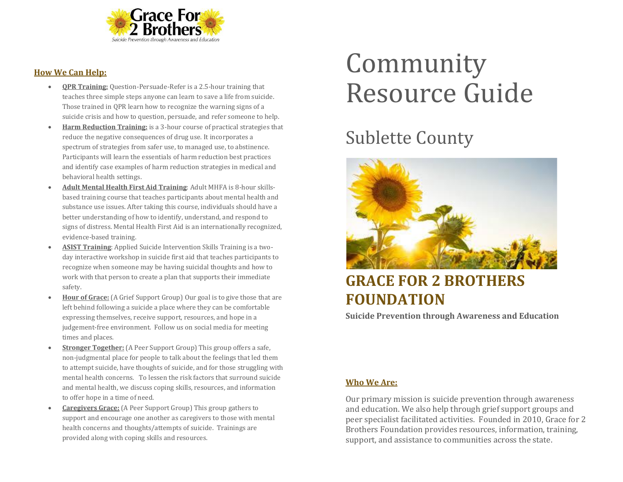

#### **How We Can Help:**

- **QPR Training:** Question-Persuade-Refer is a 2.5-hour training that teaches three simple steps anyone can learn to save a life from suicide. Those trained in QPR learn how to recognize the warning signs of a suicide crisis and how to question, persuade, and refer someone to help.
- **Harm Reduction Training:** is a 3-hour course of practical strategies that reduce the negative consequences of drug use. It incorporates a spectrum of strategies from safer use, to managed use, to abstinence. Participants will learn the essentials of harm reduction best practices and identify case examples of harm reduction strategies in medical and behavioral health settings.
- **Adult Mental Health First Aid Training**: Adult MHFA is 8-hour skillsbased training course that teaches participants about mental health and substance use issues. After taking this course, individuals should have a better understanding of how to identify, understand, and respond to signs of distress. Mental Health First Aid is an internationally recognized, evidence-based training.
- **ASIST Training**: Applied Suicide Intervention Skills Training is a twoday interactive workshop in suicide first aid that teaches participants to recognize when someone may be having suicidal thoughts and how to work with that person to create a plan that supports their immediate safety.
- **Hour of Grace:** (A Grief Support Group) Our goal is to give those that are left behind following a suicide a place where they can be comfortable expressing themselves, receive support, resources, and hope in a judgement-free environment. Follow us on social media for meeting times and places.
- **Stronger Together:** (A Peer Support Group) This group offers a safe, non-judgmental place for people to talk about the feelings that led them to attempt suicide, have thoughts of suicide, and for those struggling with mental health concerns. To lessen the risk factors that surround suicide and mental health, we discuss coping skills, resources, and information to offer hope in a time of need.
- **Caregivers Grace:** (A Peer Support Group) This group gathers to support and encourage one another as caregivers to those with mental health concerns and thoughts/attempts of suicide. Trainings are provided along with coping skills and resources.

# Community Resource Guide

## Sublette County



### **GRACE FOR 2 BROTHERS FOUNDATION**

**Suicide Prevention through Awareness and Education**

#### **Who We Are:**

Our primary mission is suicide prevention through awareness and education. We also help through grief support groups and peer specialist facilitated activities. Founded in 2010, Grace for 2 Brothers Foundation provides resources, information, training, support, and assistance to communities across the state.